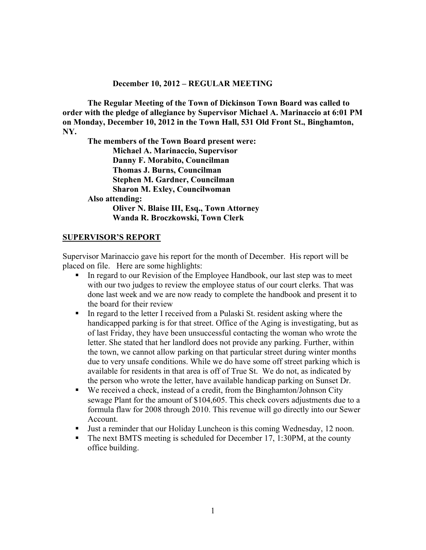#### **December 10, 2012 – REGULAR MEETING**

**The Regular Meeting of the Town of Dickinson Town Board was called to order with the pledge of allegiance by Supervisor Michael A. Marinaccio at 6:01 PM on Monday, December 10, 2012 in the Town Hall, 531 Old Front St., Binghamton, NY.** 

**The members of the Town Board present were: Michael A. Marinaccio, Supervisor Danny F. Morabito, Councilman Thomas J. Burns, Councilman Stephen M. Gardner, Councilman Sharon M. Exley, Councilwoman Also attending: Oliver N. Blaise III, Esq., Town Attorney Wanda R. Broczkowski, Town Clerk** 

### **SUPERVISOR'S REPORT**

Supervisor Marinaccio gave his report for the month of December. His report will be placed on file. Here are some highlights:

- In regard to our Revision of the Employee Handbook, our last step was to meet with our two judges to review the employee status of our court clerks. That was done last week and we are now ready to complete the handbook and present it to the board for their review
- In regard to the letter I received from a Pulaski St. resident asking where the handicapped parking is for that street. Office of the Aging is investigating, but as of last Friday, they have been unsuccessful contacting the woman who wrote the letter. She stated that her landlord does not provide any parking. Further, within the town, we cannot allow parking on that particular street during winter months due to very unsafe conditions. While we do have some off street parking which is available for residents in that area is off of True St. We do not, as indicated by the person who wrote the letter, have available handicap parking on Sunset Dr.
- We received a check, instead of a credit, from the Binghamton/Johnson City sewage Plant for the amount of \$104,605. This check covers adjustments due to a formula flaw for 2008 through 2010. This revenue will go directly into our Sewer Account.
- Just a reminder that our Holiday Luncheon is this coming Wednesday, 12 noon.
- $\blacksquare$  The next BMTS meeting is scheduled for December 17, 1:30PM, at the county office building.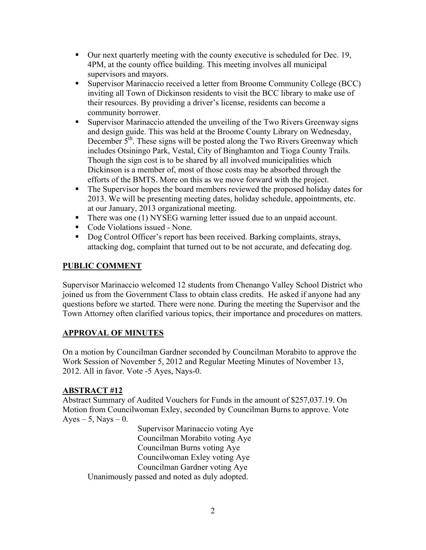- Our next quarterly meeting with the county executive is scheduled for Dec. 19, 4PM, at the county office building. This meeting involves all municipal supervisors and mayors.
- Supervisor Marinaccio received a letter from Broome Community College (BCC) inviting all Town of Dickinson residents to visit the BCC library to make use of their resources. By providing a driver's license, residents can become a community borrower.
- Supervisor Marinaccio attended the unveiling of the Two Rivers Greenway signs and design guide. This was held at the Broome County Library on Wednesday, December  $5<sup>th</sup>$ . These signs will be posted along the Two Rivers Greenway which includes Otsiningo Park, Vestal, City of Binghamton and Tioga County Trails. Though the sign cost is to be shared by all involved municipalities which Dickinson is a member of, most of those costs may be absorbed through the efforts of the BMTS. More on this as we move forward with the project.
- The Supervisor hopes the board members reviewed the proposed holiday dates for 2013. We will be presenting meeting dates, holiday schedule, appointments, etc. at our January, 2013 organizational meeting.
- There was one (1) NYSEG warning letter issued due to an unpaid account.
- Code Violations issued None.
- Dog Control Officer's report has been received. Barking complaints, strays, attacking dog, complaint that turned out to be not accurate, and defecating dog.

# **PUBLIC COMMENT**

Supervisor Marinaccio welcomed 12 students from Chenango Valley School District who joined us from the Government Class to obtain class credits. He asked if anyone had any questions before we started. There were none. During the meeting the Supervisor and the Town Attorney often clarified various topics, their importance and procedures on matters.

# **APPROVAL OF MINUTES**

On a motion by Councilman Gardner seconded by Councilman Morabito to approve the Work Session of November 5, 2012 and Regular Meeting Minutes of November 13, 2012. All in favor. Vote -5 Ayes, Nays-0.

# **ABSTRACT #12**

Abstract Summary of Audited Vouchers for Funds in the amount of \$257,037.19. On Motion from Councilwoman Exley, seconded by Councilman Burns to approve. Vote  $Ayes - 5$ , Nays  $-0$ .

 Supervisor Marinaccio voting Aye Councilman Morabito voting Aye Councilman Burns voting Aye Councilwoman Exley voting Aye Councilman Gardner voting Aye Unanimously passed and noted as duly adopted.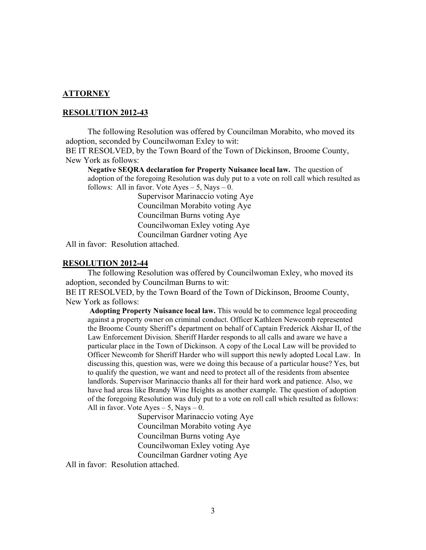#### **ATTORNEY**

#### **RESOLUTION 2012-43**

 The following Resolution was offered by Councilman Morabito, who moved its adoption, seconded by Councilwoman Exley to wit:

BE IT RESOLVED, by the Town Board of the Town of Dickinson, Broome County, New York as follows:

**Negative SEQRA declaration for Property Nuisance local law.** The question of adoption of the foregoing Resolution was duly put to a vote on roll call which resulted as follows: All in favor. Vote  $Ayes - 5$ , Nays  $- 0$ .

> Supervisor Marinaccio voting Aye Councilman Morabito voting Aye Councilman Burns voting Aye Councilwoman Exley voting Aye Councilman Gardner voting Aye

All in favor: Resolution attached.

#### **RESOLUTION 2012-44**

 The following Resolution was offered by Councilwoman Exley, who moved its adoption, seconded by Councilman Burns to wit:

BE IT RESOLVED, by the Town Board of the Town of Dickinson, Broome County, New York as follows:

 **Adopting Property Nuisance local law.** This would be to commence legal proceeding against a property owner on criminal conduct. Officer Kathleen Newcomb represented the Broome County Sheriff's department on behalf of Captain Frederick Akshar II, of the Law Enforcement Division. Sheriff Harder responds to all calls and aware we have a particular place in the Town of Dickinson. A copy of the Local Law will be provided to Officer Newcomb for Sheriff Harder who will support this newly adopted Local Law. In discussing this, question was, were we doing this because of a particular house? Yes, but to qualify the question, we want and need to protect all of the residents from absentee landlords. Supervisor Marinaccio thanks all for their hard work and patience. Also, we have had areas like Brandy Wine Heights as another example. The question of adoption of the foregoing Resolution was duly put to a vote on roll call which resulted as follows: All in favor. Vote Ayes  $-5$ , Nays  $-0$ .

> Supervisor Marinaccio voting Aye Councilman Morabito voting Aye Councilman Burns voting Aye Councilwoman Exley voting Aye Councilman Gardner voting Aye

All in favor: Resolution attached.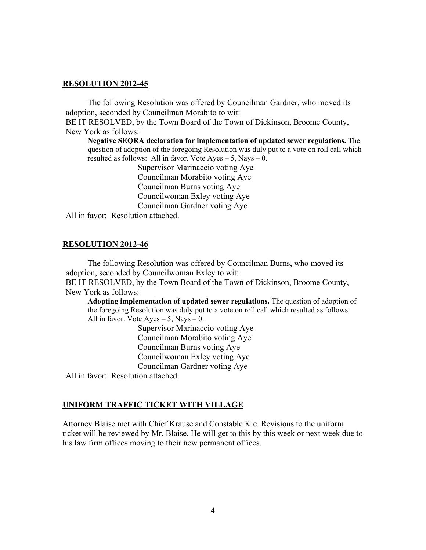#### **RESOLUTION 2012-45**

 The following Resolution was offered by Councilman Gardner, who moved its adoption, seconded by Councilman Morabito to wit:

BE IT RESOLVED, by the Town Board of the Town of Dickinson, Broome County, New York as follows:

**Negative SEQRA declaration for implementation of updated sewer regulations.** The question of adoption of the foregoing Resolution was duly put to a vote on roll call which resulted as follows: All in favor. Vote Ayes – 5, Nays – 0.

 Supervisor Marinaccio voting Aye Councilman Morabito voting Aye Councilman Burns voting Aye Councilwoman Exley voting Aye Councilman Gardner voting Aye

All in favor: Resolution attached.

#### **RESOLUTION 2012-46**

 The following Resolution was offered by Councilman Burns, who moved its adoption, seconded by Councilwoman Exley to wit:

BE IT RESOLVED, by the Town Board of the Town of Dickinson, Broome County, New York as follows:

**Adopting implementation of updated sewer regulations.** The question of adoption of the foregoing Resolution was duly put to a vote on roll call which resulted as follows: All in favor. Vote Ayes  $-5$ , Nays  $-0$ .

 Supervisor Marinaccio voting Aye Councilman Morabito voting Aye Councilman Burns voting Aye Councilwoman Exley voting Aye Councilman Gardner voting Aye

All in favor: Resolution attached.

### **UNIFORM TRAFFIC TICKET WITH VILLAGE**

Attorney Blaise met with Chief Krause and Constable Kie. Revisions to the uniform ticket will be reviewed by Mr. Blaise. He will get to this by this week or next week due to his law firm offices moving to their new permanent offices.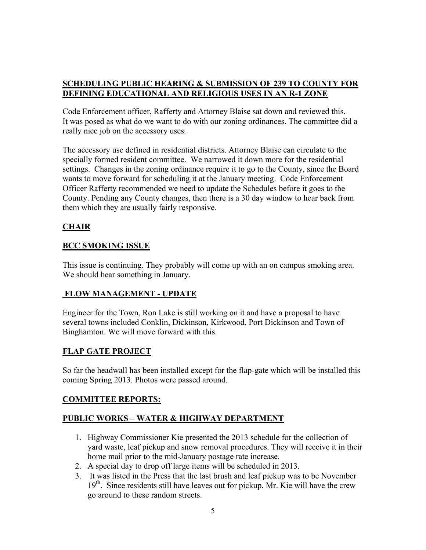### **SCHEDULING PUBLIC HEARING & SUBMISSION OF 239 TO COUNTY FOR DEFINING EDUCATIONAL AND RELIGIOUS USES IN AN R-1 ZONE**

Code Enforcement officer, Rafferty and Attorney Blaise sat down and reviewed this. It was posed as what do we want to do with our zoning ordinances. The committee did a really nice job on the accessory uses.

The accessory use defined in residential districts. Attorney Blaise can circulate to the specially formed resident committee. We narrowed it down more for the residential settings. Changes in the zoning ordinance require it to go to the County, since the Board wants to move forward for scheduling it at the January meeting. Code Enforcement Officer Rafferty recommended we need to update the Schedules before it goes to the County. Pending any County changes, then there is a 30 day window to hear back from them which they are usually fairly responsive.

# **CHAIR**

# **BCC SMOKING ISSUE**

This issue is continuing. They probably will come up with an on campus smoking area. We should hear something in January.

# **FLOW MANAGEMENT - UPDATE**

Engineer for the Town, Ron Lake is still working on it and have a proposal to have several towns included Conklin, Dickinson, Kirkwood, Port Dickinson and Town of Binghamton. We will move forward with this.

# **FLAP GATE PROJECT**

So far the headwall has been installed except for the flap-gate which will be installed this coming Spring 2013. Photos were passed around.

### **COMMITTEE REPORTS:**

# **PUBLIC WORKS – WATER & HIGHWAY DEPARTMENT**

- 1. Highway Commissioner Kie presented the 2013 schedule for the collection of yard waste, leaf pickup and snow removal procedures. They will receive it in their home mail prior to the mid-January postage rate increase.
- 2. A special day to drop off large items will be scheduled in 2013.
- 3. It was listed in the Press that the last brush and leaf pickup was to be November  $19<sup>th</sup>$ . Since residents still have leaves out for pickup. Mr. Kie will have the crew go around to these random streets.